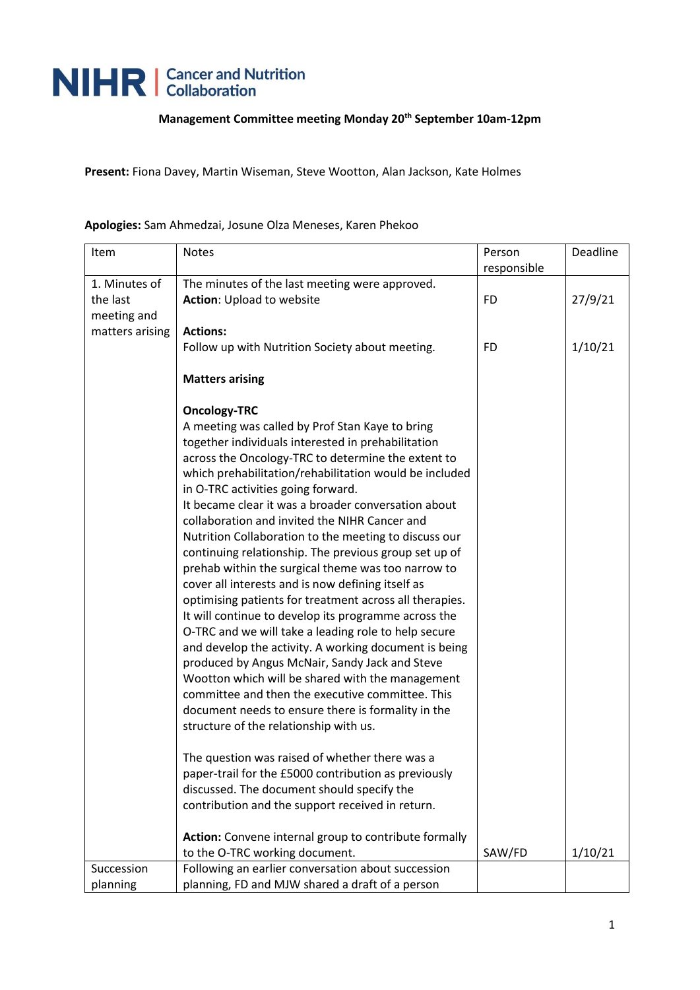## NIHR | Cancer and Nutrition

## **Management Committee meeting Monday 20th September 10am-12pm**

**Present:** Fiona Davey, Martin Wiseman, Steve Wootton, Alan Jackson, Kate Holmes

| Item            | <b>Notes</b>                                            | Person      | Deadline |
|-----------------|---------------------------------------------------------|-------------|----------|
|                 |                                                         | responsible |          |
| 1. Minutes of   | The minutes of the last meeting were approved.          |             |          |
| the last        | <b>Action: Upload to website</b>                        | <b>FD</b>   | 27/9/21  |
| meeting and     |                                                         |             |          |
| matters arising | <b>Actions:</b>                                         |             |          |
|                 | Follow up with Nutrition Society about meeting.         | <b>FD</b>   | 1/10/21  |
|                 |                                                         |             |          |
|                 | <b>Matters arising</b>                                  |             |          |
|                 | <b>Oncology-TRC</b>                                     |             |          |
|                 | A meeting was called by Prof Stan Kaye to bring         |             |          |
|                 | together individuals interested in prehabilitation      |             |          |
|                 | across the Oncology-TRC to determine the extent to      |             |          |
|                 | which prehabilitation/rehabilitation would be included  |             |          |
|                 | in O-TRC activities going forward.                      |             |          |
|                 | It became clear it was a broader conversation about     |             |          |
|                 | collaboration and invited the NIHR Cancer and           |             |          |
|                 | Nutrition Collaboration to the meeting to discuss our   |             |          |
|                 | continuing relationship. The previous group set up of   |             |          |
|                 | prehab within the surgical theme was too narrow to      |             |          |
|                 | cover all interests and is now defining itself as       |             |          |
|                 | optimising patients for treatment across all therapies. |             |          |
|                 | It will continue to develop its programme across the    |             |          |
|                 | O-TRC and we will take a leading role to help secure    |             |          |
|                 | and develop the activity. A working document is being   |             |          |
|                 | produced by Angus McNair, Sandy Jack and Steve          |             |          |
|                 | Wootton which will be shared with the management        |             |          |
|                 | committee and then the executive committee. This        |             |          |
|                 | document needs to ensure there is formality in the      |             |          |
|                 | structure of the relationship with us.                  |             |          |
|                 | The question was raised of whether there was a          |             |          |
|                 | paper-trail for the £5000 contribution as previously    |             |          |
|                 | discussed. The document should specify the              |             |          |
|                 | contribution and the support received in return.        |             |          |
|                 |                                                         |             |          |
|                 | Action: Convene internal group to contribute formally   |             |          |
|                 | to the O-TRC working document.                          | SAW/FD      | 1/10/21  |
| Succession      | Following an earlier conversation about succession      |             |          |
| planning        | planning, FD and MJW shared a draft of a person         |             |          |

**Apologies:** Sam Ahmedzai, Josune Olza Meneses, Karen Phekoo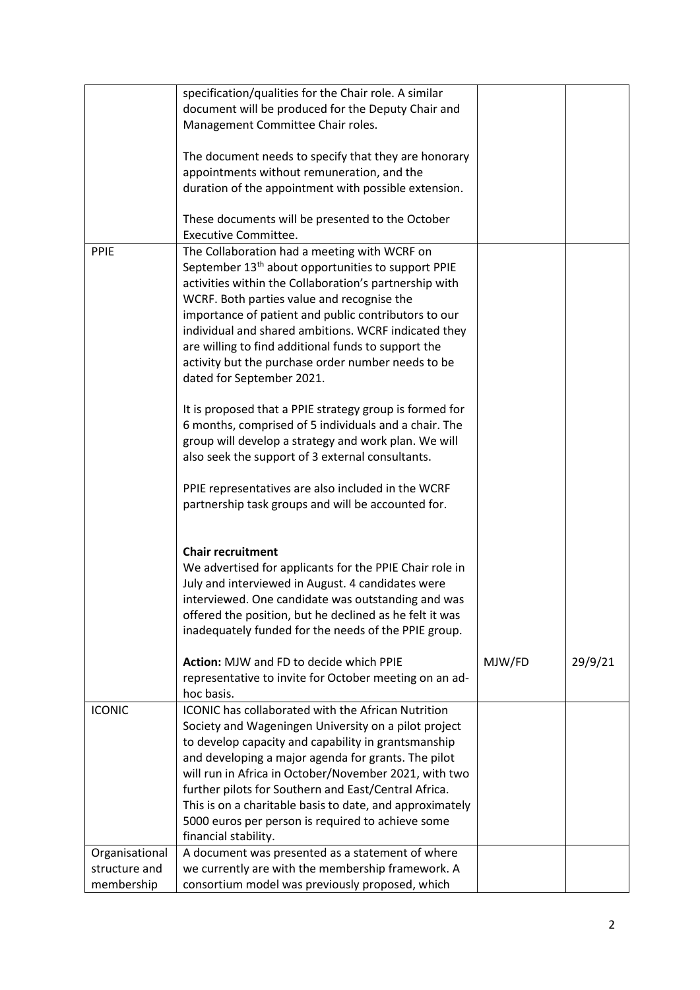|                | specification/qualities for the Chair role. A similar          |        |         |
|----------------|----------------------------------------------------------------|--------|---------|
|                | document will be produced for the Deputy Chair and             |        |         |
|                | Management Committee Chair roles.                              |        |         |
|                |                                                                |        |         |
|                | The document needs to specify that they are honorary           |        |         |
|                | appointments without remuneration, and the                     |        |         |
|                | duration of the appointment with possible extension.           |        |         |
|                |                                                                |        |         |
|                | These documents will be presented to the October               |        |         |
|                | <b>Executive Committee.</b>                                    |        |         |
| PPIE           | The Collaboration had a meeting with WCRF on                   |        |         |
|                | September 13 <sup>th</sup> about opportunities to support PPIE |        |         |
|                | activities within the Collaboration's partnership with         |        |         |
|                | WCRF. Both parties value and recognise the                     |        |         |
|                |                                                                |        |         |
|                | importance of patient and public contributors to our           |        |         |
|                | individual and shared ambitions. WCRF indicated they           |        |         |
|                | are willing to find additional funds to support the            |        |         |
|                | activity but the purchase order number needs to be             |        |         |
|                | dated for September 2021.                                      |        |         |
|                |                                                                |        |         |
|                | It is proposed that a PPIE strategy group is formed for        |        |         |
|                | 6 months, comprised of 5 individuals and a chair. The          |        |         |
|                | group will develop a strategy and work plan. We will           |        |         |
|                | also seek the support of 3 external consultants.               |        |         |
|                |                                                                |        |         |
|                | PPIE representatives are also included in the WCRF             |        |         |
|                | partnership task groups and will be accounted for.             |        |         |
|                |                                                                |        |         |
|                |                                                                |        |         |
|                | <b>Chair recruitment</b>                                       |        |         |
|                | We advertised for applicants for the PPIE Chair role in        |        |         |
|                | July and interviewed in August. 4 candidates were              |        |         |
|                | interviewed. One candidate was outstanding and was             |        |         |
|                | offered the position, but he declined as he felt it was        |        |         |
|                | inadequately funded for the needs of the PPIE group.           |        |         |
|                |                                                                |        |         |
|                | Action: MJW and FD to decide which PPIE                        | MJW/FD | 29/9/21 |
|                | representative to invite for October meeting on an ad-         |        |         |
|                | hoc basis.                                                     |        |         |
| <b>ICONIC</b>  | ICONIC has collaborated with the African Nutrition             |        |         |
|                | Society and Wageningen University on a pilot project           |        |         |
|                | to develop capacity and capability in grantsmanship            |        |         |
|                | and developing a major agenda for grants. The pilot            |        |         |
|                | will run in Africa in October/November 2021, with two          |        |         |
|                | further pilots for Southern and East/Central Africa.           |        |         |
|                | This is on a charitable basis to date, and approximately       |        |         |
|                | 5000 euros per person is required to achieve some              |        |         |
|                | financial stability.                                           |        |         |
| Organisational | A document was presented as a statement of where               |        |         |
| structure and  | we currently are with the membership framework. A              |        |         |
| membership     | consortium model was previously proposed, which                |        |         |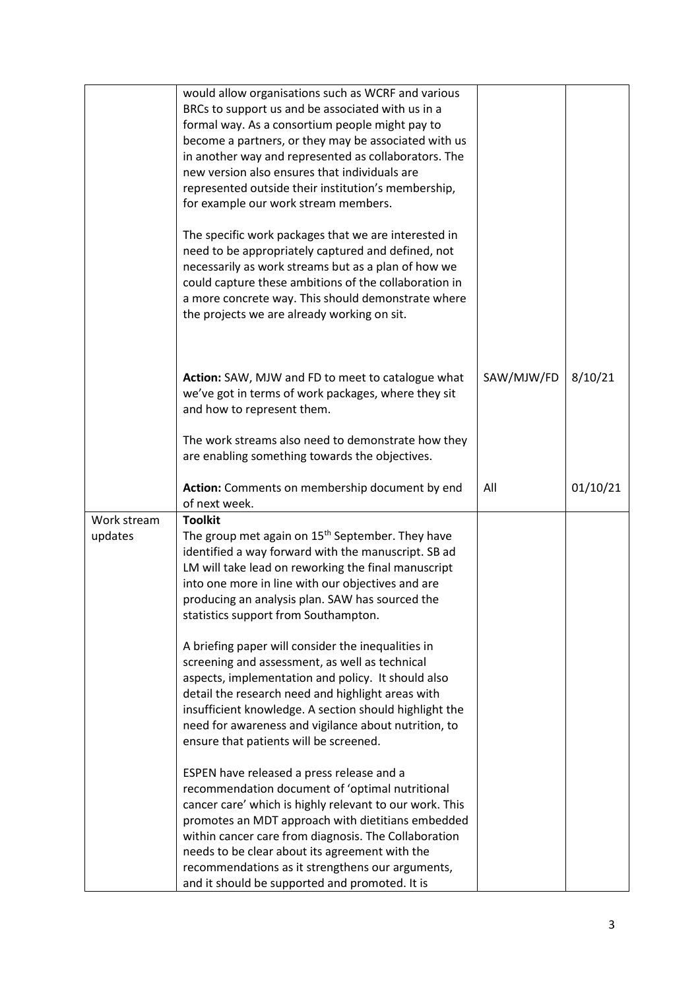|                        | would allow organisations such as WCRF and various<br>BRCs to support us and be associated with us in a<br>formal way. As a consortium people might pay to<br>become a partners, or they may be associated with us<br>in another way and represented as collaborators. The<br>new version also ensures that individuals are<br>represented outside their institution's membership,<br>for example our work stream members.<br>The specific work packages that we are interested in<br>need to be appropriately captured and defined, not<br>necessarily as work streams but as a plan of how we<br>could capture these ambitions of the collaboration in<br>a more concrete way. This should demonstrate where<br>the projects we are already working on sit.            |            |          |
|------------------------|--------------------------------------------------------------------------------------------------------------------------------------------------------------------------------------------------------------------------------------------------------------------------------------------------------------------------------------------------------------------------------------------------------------------------------------------------------------------------------------------------------------------------------------------------------------------------------------------------------------------------------------------------------------------------------------------------------------------------------------------------------------------------|------------|----------|
|                        | Action: SAW, MJW and FD to meet to catalogue what<br>we've got in terms of work packages, where they sit<br>and how to represent them.                                                                                                                                                                                                                                                                                                                                                                                                                                                                                                                                                                                                                                   | SAW/MJW/FD | 8/10/21  |
|                        | The work streams also need to demonstrate how they<br>are enabling something towards the objectives.                                                                                                                                                                                                                                                                                                                                                                                                                                                                                                                                                                                                                                                                     |            |          |
|                        | Action: Comments on membership document by end<br>of next week.                                                                                                                                                                                                                                                                                                                                                                                                                                                                                                                                                                                                                                                                                                          | All        | 01/10/21 |
| Work stream<br>updates | <b>Toolkit</b><br>The group met again on 15 <sup>th</sup> September. They have<br>identified a way forward with the manuscript. SB ad<br>LM will take lead on reworking the final manuscript<br>into one more in line with our objectives and are<br>producing an analysis plan. SAW has sourced the<br>statistics support from Southampton.<br>A briefing paper will consider the inequalities in<br>screening and assessment, as well as technical<br>aspects, implementation and policy. It should also<br>detail the research need and highlight areas with<br>insufficient knowledge. A section should highlight the<br>need for awareness and vigilance about nutrition, to<br>ensure that patients will be screened.<br>ESPEN have released a press release and a |            |          |
|                        | recommendation document of 'optimal nutritional<br>cancer care' which is highly relevant to our work. This<br>promotes an MDT approach with dietitians embedded<br>within cancer care from diagnosis. The Collaboration<br>needs to be clear about its agreement with the<br>recommendations as it strengthens our arguments,<br>and it should be supported and promoted. It is                                                                                                                                                                                                                                                                                                                                                                                          |            |          |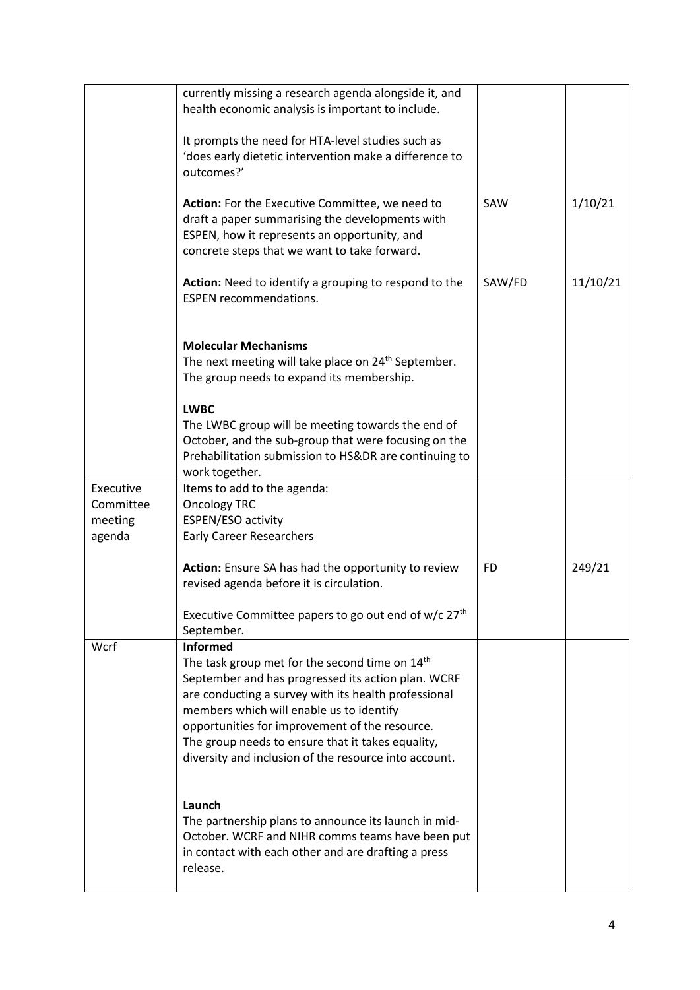|           | currently missing a research agenda alongside it, and                                                      |           |          |
|-----------|------------------------------------------------------------------------------------------------------------|-----------|----------|
|           | health economic analysis is important to include.                                                          |           |          |
|           |                                                                                                            |           |          |
|           | It prompts the need for HTA-level studies such as                                                          |           |          |
|           | 'does early dietetic intervention make a difference to                                                     |           |          |
|           | outcomes?'                                                                                                 |           |          |
|           | Action: For the Executive Committee, we need to                                                            | SAW       | 1/10/21  |
|           | draft a paper summarising the developments with                                                            |           |          |
|           | ESPEN, how it represents an opportunity, and                                                               |           |          |
|           | concrete steps that we want to take forward.                                                               |           |          |
|           |                                                                                                            |           |          |
|           | Action: Need to identify a grouping to respond to the                                                      | SAW/FD    | 11/10/21 |
|           | <b>ESPEN recommendations.</b>                                                                              |           |          |
|           |                                                                                                            |           |          |
|           | <b>Molecular Mechanisms</b>                                                                                |           |          |
|           | The next meeting will take place on 24 <sup>th</sup> September.                                            |           |          |
|           | The group needs to expand its membership.                                                                  |           |          |
|           |                                                                                                            |           |          |
|           | <b>LWBC</b>                                                                                                |           |          |
|           | The LWBC group will be meeting towards the end of                                                          |           |          |
|           | October, and the sub-group that were focusing on the                                                       |           |          |
|           | Prehabilitation submission to HS&DR are continuing to                                                      |           |          |
|           | work together.                                                                                             |           |          |
| Executive | Items to add to the agenda:                                                                                |           |          |
| Committee | <b>Oncology TRC</b>                                                                                        |           |          |
| meeting   | ESPEN/ESO activity                                                                                         |           |          |
| agenda    | <b>Early Career Researchers</b>                                                                            |           |          |
|           | Action: Ensure SA has had the opportunity to review                                                        | <b>FD</b> | 249/21   |
|           | revised agenda before it is circulation.                                                                   |           |          |
|           |                                                                                                            |           |          |
|           | Executive Committee papers to go out end of w/c 27 <sup>th</sup>                                           |           |          |
|           | September.                                                                                                 |           |          |
| Wcrf      | <b>Informed</b>                                                                                            |           |          |
|           | The task group met for the second time on 14 <sup>th</sup>                                                 |           |          |
|           | September and has progressed its action plan. WCRF                                                         |           |          |
|           | are conducting a survey with its health professional                                                       |           |          |
|           | members which will enable us to identify                                                                   |           |          |
|           | opportunities for improvement of the resource.                                                             |           |          |
|           | The group needs to ensure that it takes equality,<br>diversity and inclusion of the resource into account. |           |          |
|           |                                                                                                            |           |          |
|           |                                                                                                            |           |          |
|           | Launch                                                                                                     |           |          |
|           | The partnership plans to announce its launch in mid-                                                       |           |          |
|           | October. WCRF and NIHR comms teams have been put                                                           |           |          |
|           | in contact with each other and are drafting a press                                                        |           |          |
|           | release.                                                                                                   |           |          |
|           |                                                                                                            |           |          |